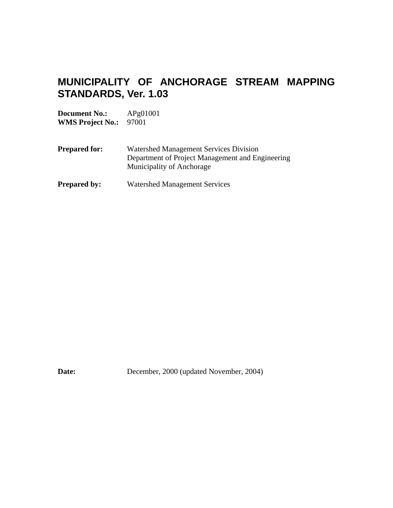# **MUNICIPALITY OF ANCHORAGE STREAM MAPPING STANDARDS, Ver. 1.03**

**Document No.:** APg01001 **WMS Project No.:** 97001

- **Prepared for:** Watershed Management Services Division Department of Project Management and Engineering Municipality of Anchorage
- **Prepared by:** Watershed Management Services

**Date:** December, 2000 (updated November, 2004)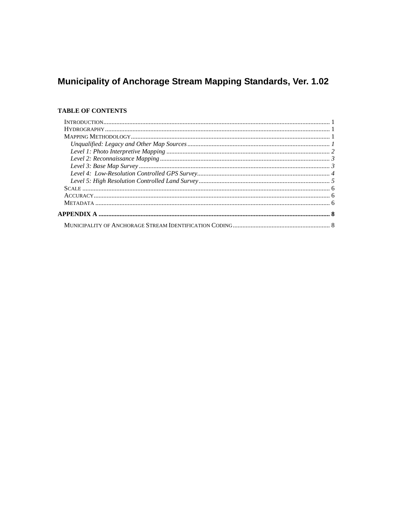# Municipality of Anchorage Stream Mapping Standards, Ver. 1.02

## **TABLE OF CONTENTS**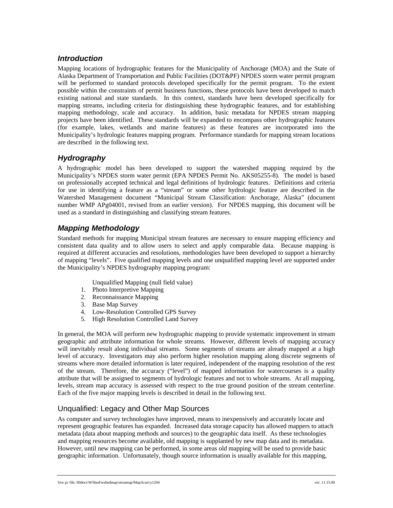#### *Introduction*

Mapping locations of hydrographic features for the Municipality of Anchorage (MOA) and the State of Alaska Department of Transportation and Public Facilities (DOT&PF) NPDES storm water permit program will be performed to standard protocols developed specifically for the permit program. To the extent possible within the constraints of permit business functions, these protocols have been developed to match existing national and state standards. In this context, standards have been developed specifically for mapping streams, including criteria for distinguishing these hydrographic features, and for establishing mapping methodology, scale and accuracy. In addition, basic metadata for NPDES stream mapping projects have been identified. These standards will be expanded to encompass other hydrographic features (for example, lakes, wetlands and marine features) as these features are incorporated into the Municipality's hydrologic features mapping program. Performance standards for mapping stream locations are described in the following text.

#### *Hydrography*

A hydrographic model has been developed to support the watershed mapping required by the Municipality's NPDES storm water permit (EPA NPDES Permit No. AKS05255-8). The model is based on professionally accepted technical and legal definitions of hydrologic features. Definitions and criteria for use in identifying a feature as a "stream" or some other hydrologic feature are described in the Watershed Management document "Municipal Stream Classification: Anchorage, Alaska" (document number WMP APg04001, revised from an earlier version). For NPDES mapping, this document will be used as a standard in distinguishing and classifying stream features.

### *Mapping Methodology*

Standard methods for mapping Municipal stream features are necessary to ensure mapping efficiency and consistent data quality and to allow users to select and apply comparable data. Because mapping is required at different accuracies and resolutions, methodologies have been developed to support a hierarchy of mapping "levels". Five qualified mapping levels and one unqualified mapping level are supported under the Municipality's NPDES hydrography mapping program:

Unqualified Mapping (null field value)

- 1. Photo Interpretive Mapping
- 2. Reconnaissance Mapping
- 3. Base Map Survey
- 4. Low-Resolution Controlled GPS Survey
- 5. High Resolution Controlled Land Survey

In general, the MOA will perform new hydrographic mapping to provide systematic improvement in stream geographic and attribute information for whole streams. However, different levels of mapping accuracy will inevitably result along individual streams. Some segments of streams are already mapped at a high level of accuracy. Investigators may also perform higher resolution mapping along discrete segments of streams where more detailed information is later required, independent of the mapping resolution of the rest of the stream. Therefore, the accuracy ("level") of mapped information for watercourses is a quality attribute that will be assigned to segments of hydrologic features and not to whole streams. At all mapping, levels, stream map accuracy is assessed with respect to the true ground position of the stream centerline. Each of the five major mapping levels is described in detail in the following text.

### Unqualified: Legacy and Other Map Sources

As computer and survey technologies have improved, means to inexpensively and accurately locate and represent geographic features has expanded. Increased data storage capacity has allowed mappers to attach metadata (data about mapping methods and sources) to the geographic data itself. As these technologies and mapping resources become available, old mapping is supplanted by new map data and its metadata. However, until new mapping can be performed, in some areas old mapping will be used to provide basic geographic information. Unfortunately, though source information is usually available for this mapping,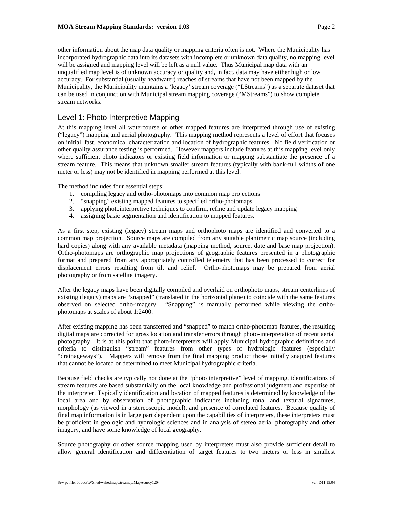other information about the map data quality or mapping criteria often is not. Where the Municipality has incorporated hydrographic data into its datasets with incomplete or unknown data quality, no mapping level will be assigned and mapping level will be left as a null value. Thus Municipal map data with an unqualified map level is of unknown accuracy or quality and, in fact, data may have either high or low accuracy. For substantial (usually headwater) reaches of streams that have not been mapped by the Municipality, the Municipality maintains a 'legacy' stream coverage ("LStreams") as a separate dataset that can be used in conjunction with Municipal stream mapping coverage ("MStreams") to show complete stream networks.

#### Level 1: Photo Interpretive Mapping

At this mapping level all watercourse or other mapped features are interpreted through use of existing ("legacy") mapping and aerial photography. This mapping method represents a level of effort that focuses on initial, fast, economical characterization and location of hydrographic features. No field verification or other quality assurance testing is performed. However mappers include features at this mapping level only where sufficient photo indicators or existing field information or mapping substantiate the presence of a stream feature. This means that unknown smaller stream features (typically with bank-full widths of one meter or less) may not be identified in mapping performed at this level.

The method includes four essential steps:

- 1. compiling legacy and ortho-photomaps into common map projections
- 2. "snapping" existing mapped features to specified ortho-photomaps
- 3. applying photointerpretive techniques to confirm, refine and update legacy mapping
- 4. assigning basic segmentation and identification to mapped features.

As a first step, existing (legacy) stream maps and orthophoto maps are identified and converted to a common map projection. Source maps are compiled from any suitable planimetric map source (including hard copies) along with any available metadata (mapping method, source, date and base map projection). Ortho-photomaps are orthographic map projections of geographic features presented in a photographic format and prepared from any appropriately controlled telemetry that has been processed to correct for displacement errors resulting from tilt and relief. Ortho-photomaps may be prepared from aerial photography or from satellite imagery.

After the legacy maps have been digitally compiled and overlaid on orthophoto maps, stream centerlines of existing (legacy) maps are "snapped" (translated in the horizontal plane) to coincide with the same features observed on selected ortho-imagery. "Snapping" is manually performed while viewing the orthophotomaps at scales of about 1:2400.

After existing mapping has been transferred and "snapped" to match ortho-photomap features, the resulting digital maps are corrected for gross location and transfer errors through photo-interpretation of recent aerial photography. It is at this point that photo-interpreters will apply Municipal hydrographic definitions and criteria to distinguish "stream" features from other types of hydrologic features (especially "drainageways"). Mappers will remove from the final mapping product those initially snapped features that cannot be located or determined to meet Municipal hydrographic criteria.

Because field checks are typically not done at the "photo interpretive" level of mapping, identifications of stream features are based substantially on the local knowledge and professional judgment and expertise of the interpreter. Typically identification and location of mapped features is determined by knowledge of the local area and by observation of photographic indicators including tonal and textural signatures, morphology (as viewed in a stereoscopic model), and presence of correlated features. Because quality of final map information is in large part dependent upon the capabilities of interpreters, these interpreters must be proficient in geologic and hydrologic sciences and in analysis of stereo aerial photography and other imagery, and have some knowledge of local geography.

Source photography or other source mapping used by interpreters must also provide sufficient detail to allow general identification and differentiation of target features to two meters or less in smallest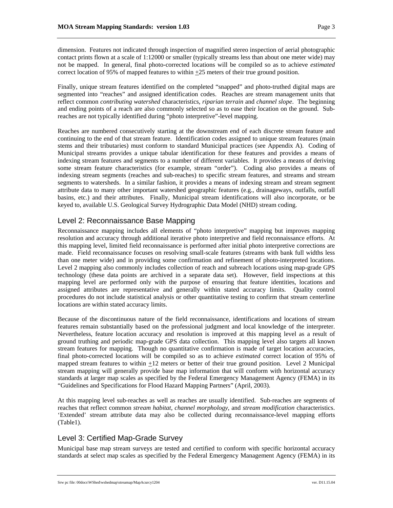dimension. Features not indicated through inspection of magnified stereo inspection of aerial photographic contact prints flown at a scale of 1:12000 or smaller (typically streams less than about one meter wide) may not be mapped. In general, final photo-corrected locations will be compiled so as to achieve *estimated* correct location of 95% of mapped features to within +25 meters of their true ground position.

Finally, unique stream features identified on the completed "snapped" and photo-truthed digital maps are segmented into "reaches" and assigned identification codes. Reaches are stream management units that reflect common *contributing watershed* characteristics, *riparian terrain* and *channel slope*. The beginning and ending points of a reach are also commonly selected so as to ease their location on the ground. Subreaches are not typically identified during "photo interpretive"-level mapping.

Reaches are numbered consecutively starting at the downstream end of each discrete stream feature and continuing to the end of that stream feature. Identification codes assigned to unique stream features (main stems and their tributaries) must conform to standard Municipal practices (see Appendix A). Coding of Municipal streams provides a unique tabular identification for these features and provides a means of indexing stream features and segments to a number of different variables. It provides a means of deriving some stream feature characteristics (for example, stream "order"). Coding also provides a means of indexing stream segments (reaches and sub-reaches) to specific stream features, and streams and stream segments to watersheds. In a similar fashion, it provides a means of indexing stream and stream segment attribute data to many other important watershed geographic features (e.g., drainageways, outfalls, outfall basins, etc.) and their attributes. Finally, Municipal stream identifications will also incorporate, or be keyed to, available U.S. Geological Survey Hydrographic Data Model (NHD) stream coding.

#### Level 2: Reconnaissance Base Mapping

Reconnaissance mapping includes all elements of "photo interpretive" mapping but improves mapping resolution and accuracy through additional iterative photo interpretive and field reconnaissance efforts. At this mapping level, limited field reconnaissance is performed after initial photo interpretive corrections are made. Field reconnaissance focuses on resolving small-scale features (streams with bank full widths less than one meter wide) and in providing some confirmation and refinement of photo-interpreted locations. Level 2 mapping also commonly includes collection of reach and subreach locations using map-grade GPS technology (these data points are archived in a separate data set). However, field inspections at this mapping level are performed only with the purpose of ensuring that feature identities, locations and assigned attributes are representative and generally within stated accuracy limits. Quality control procedures do not include statistical analysis or other quantitative testing to confirm that stream centerline locations are within stated accuracy limits.

Because of the discontinuous nature of the field reconnaissance, identifications and locations of stream features remain substantially based on the professional judgment and local knowledge of the interpreter. Nevertheless, feature location accuracy and resolution is improved at this mapping level as a result of ground truthing and periodic map-grade GPS data collection. This mapping level also targets all known stream features for mapping. Though no quantitative confirmation is made of target location accuracies, final photo-corrected locations will be compiled so as to achieve *estimated* correct location of 95% of mapped stream features to within  $\pm 12$  meters or better of their true ground position. Level 2 Municipal stream mapping will generally provide base map information that will conform with horizontal accuracy standards at larger map scales as specified by the Federal Emergency Management Agency (FEMA) in its "Guidelines and Specifications for Flood Hazard Mapping Partners" (April, 2003).

At this mapping level sub-reaches as well as reaches are usually identified. Sub-reaches are segments of reaches that reflect common *stream habitat*, *channel morphology*, and *stream modification* characteristics. 'Extended' stream attribute data may also be collected during reconnaissance-level mapping efforts (Table1).

#### Level 3: Certified Map-Grade Survey

Municipal base map stream surveys are tested and certified to conform with specific horizontal accuracy standards at select map scales as specified by the Federal Emergency Management Agency (FEMA) in its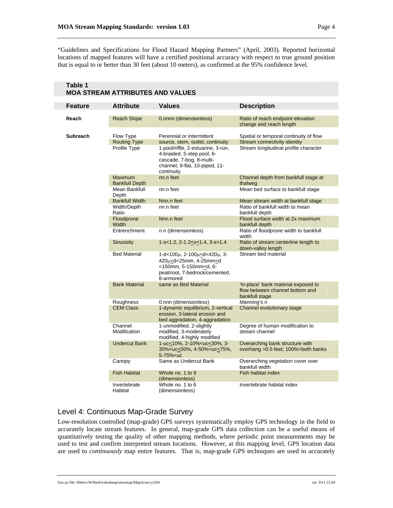"Guidelines and Specifications for Flood Hazard Mapping Partners" (April, 2003). Reported horizontal locations of mapped features will have a certified positional accuracy with respect to true ground position that is equal to or better than 30 feet (about 10 meters), as confirmed at the 95% confidence level.

| MUA SIKEAM ATIRIBUTES AND VALUES |                                     |                                                                                                                                                                                                  |                                                                                          |  |  |  |
|----------------------------------|-------------------------------------|--------------------------------------------------------------------------------------------------------------------------------------------------------------------------------------------------|------------------------------------------------------------------------------------------|--|--|--|
| Feature                          | <b>Attribute</b>                    | <b>Values</b>                                                                                                                                                                                    | <b>Description</b>                                                                       |  |  |  |
| Reach                            | <b>Reach Slope</b>                  | 0.nnnn (dimensionless)                                                                                                                                                                           | Ratio of reach endpoint elevation<br>change and reach length                             |  |  |  |
| <b>Subreach</b>                  | Flow Type                           | Perennial or intermittent                                                                                                                                                                        | Spatial or temporal continuity of flow                                                   |  |  |  |
|                                  | <b>Routing Type</b><br>Profile Type | source, stem, outlet, continuity<br>1-pool/riffle, 2-estuarine, 3-run,<br>4-braided, 5-step pool, 6-<br>cascade, 7-bog, 8-multi-<br>channel, 9-flat, 10-piped, 11-<br>continuity                 | Stream connectivity identity<br>Stream longitudinal profile character                    |  |  |  |
|                                  | Maximum<br><b>Bankfull Depth</b>    | nn.n feet                                                                                                                                                                                        | Channel depth from bankfull stage at<br>thalweg                                          |  |  |  |
|                                  | Mean Bankfull<br>Depth              | nn.n feet                                                                                                                                                                                        | Mean bed surface to bankfull stage                                                       |  |  |  |
|                                  | <b>Bankfull Width</b>               | Nnn.n feet                                                                                                                                                                                       | Mean stream width at bankfull stage                                                      |  |  |  |
|                                  | Width/Depth<br>Ratio                | nn.n feet                                                                                                                                                                                        | Ratio of bankfull width to mean<br>bankfull depth                                        |  |  |  |
|                                  | Floodprone<br>Width                 | Nnn.n feet                                                                                                                                                                                       | Flood surface width at 2x maximum<br>bankfull depth                                      |  |  |  |
|                                  | Entrenchment                        | n.n (dimensionless)                                                                                                                                                                              | Ratio of floodprone width to bankfull<br>width                                           |  |  |  |
|                                  | <b>Sinuosity</b>                    | $1-s<1.2$ , $2-1.2< s<1.4$ , $3-s>1.4$                                                                                                                                                           | Ratio of stream centerline length to<br>down-valley length                               |  |  |  |
|                                  | <b>Bed Material</b>                 | 1-d<100μ, 2-100μ <d<420μ, 3-<br="">420µ<d<25mm, 4-25mm<d<br="">&lt;150mm, 5-150mm<d, 6-<br="">peat/root, 7-bedrock/cemented,<br/>8-armored</d,></d<25mm,></d<420μ,>                              | Stream bed material                                                                      |  |  |  |
|                                  | <b>Bank Material</b>                | same as Bed Material                                                                                                                                                                             | 'In-place' bank material exposed to<br>flow between channel bottom and<br>bankfull stage |  |  |  |
|                                  | <b>Roughness</b>                    | 0.nnn (dimensionless)                                                                                                                                                                            | Manning's n                                                                              |  |  |  |
|                                  | <b>CEM Class</b>                    | 1-dynamic equilibrium, 2-vertical<br>erosion, 3-lateral erosion and<br>bed aggradation, 4-aggradation                                                                                            | Channel evolutionary stage                                                               |  |  |  |
|                                  | Channel<br>Modification             | 1-unmodified, 2-slightly<br>modified, 3-moderately<br>modified, 4-highly modified                                                                                                                | Degree of human modification to<br>stream channel                                        |  |  |  |
|                                  | <b>Undercut Bank</b>                | 1-uc<10%, 2-10% <uc<30%, 3-<br="">30%<uc<50%, 4-50%<uc<75%,<br="">5-75%<uc< td=""><td>Overarching bank structure with<br/>overhang &gt; 0.5 feet; 100%=both banks</td></uc<></uc<50%,></uc<30%,> | Overarching bank structure with<br>overhang > 0.5 feet; 100%=both banks                  |  |  |  |
|                                  | Canopy                              | Same as Undercut Bank                                                                                                                                                                            | Overarching vegetation cover over<br>bankfull width                                      |  |  |  |
|                                  | <b>Fish Habitat</b>                 | Whole no. 1 to 9<br>(dimensionless)                                                                                                                                                              | Fish habitat index                                                                       |  |  |  |
|                                  | Invertebrate<br>Habitat             | Whole no. 1 to 6<br>(dimensionless)                                                                                                                                                              | Invertebrate habitat index                                                               |  |  |  |

#### **Table 1 MOA STREAM ATTRIBUTES AND VALUES**

### Level 4: Continuous Map-Grade Survey

Low-resolution controlled (map-grade) GPS surveys systematically employ GPS technology in the field to accurately locate stream features. In general, map-grade GPS data collection can be a useful means of quantitatively testing the quality of other mapping methods, where periodic point measurements may be used to test and confirm interpreted stream locations. However, at this mapping level, GPS location data are used to *continuously* map entire features. That is, map-grade GPS techniques are used to accurately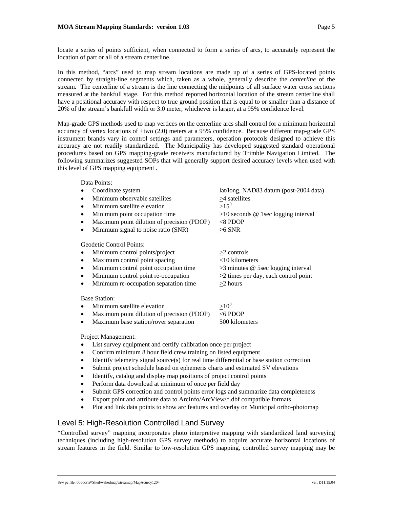locate a series of points sufficient, when connected to form a series of arcs, to accurately represent the location of part or all of a stream centerline.

In this method, "arcs" used to map stream locations are made up of a series of GPS-located points connected by straight-line segments which, taken as a whole, generally describe the *centerline* of the stream. The centerline of a stream is the line connecting the midpoints of all surface water cross sections measured at the bankfull stage. For this method reported horizontal location of the stream centerline shall have a positional accuracy with respect to true ground position that is equal to or smaller than a distance of 20% of the stream's bankfull width or 3.0 meter, whichever is larger, at a 95% confidence level.

Map-grade GPS methods used to map vertices on the centerline arcs shall control for a minimum horizontal accuracy of vertex locations of +two (2.0) meters at a 95% confidence. Because different map-grade GPS instrument brands vary in control settings and parameters, operation protocols designed to achieve this accuracy are not readily standardized. The Municipality has developed suggested standard operational procedures based on GPS mapping-grade receivers manufactured by Trimble Navigation Limited. The following summarizes suggested SOPs that will generally support desired accuracy levels when used with this level of GPS mapping equipment .

Data Points:

- Coordinate system lat/long, NAD83 datum (post-2004 data)
- Minimum observable satellites  $\geq 4$  satellites<br>
Minimum satellite elevation  $>15^0$
- Minimum satellite elevation
- Minimum point occupation time  $\geq 10$  seconds @ 1sec logging interval
- Maximum point dilution of precision (PDOP) <8 PDOP
- Minimum signal to noise ratio (SNR)  $\geq 6$  SNR

Geodetic Control Points:

- Minimum control points/project >2 controls
- Maximum control point spacing  $\leq 10$  kilometers
- Minimum control point occupation time  $\geq 3$  minutes @ 5sec logging interval
- Minimum control point re-occupation  $>2$  times per day, each control point
- Minimum re-occupation separation time  $>2$  hours

Base Station:

- Minimum satellite elevation  $>10^0$
- Maximum point dilution of precision (PDOP)  $\leq$ 6 PDOP
- Maximum base station/rover separation 500 kilometers

Project Management:

- List survey equipment and certify calibration once per project
- Confirm minimum 8 hour field crew training on listed equipment
- Identify telemetry signal source(s) for real time differential or base station correction
- Submit project schedule based on ephemeris charts and estimated SV elevations
- Identify, catalog and display map positions of project control points
- Perform data download at minimum of once per field day
- Submit GPS correction and control points error logs and summarize data completeness
- Export point and attribute data to ArcInfo/ArcView/\*.dbf compatible formats
- Plot and link data points to show arc features and overlay on Municipal ortho-photomap

#### Level 5: High-Resolution Controlled Land Survey

"Controlled survey" mapping incorporates photo interpretive mapping with standardized land surveying techniques (including high-resolution GPS survey methods) to acquire accurate horizontal locations of stream features in the field. Similar to low-resolution GPS mapping, controlled survey mapping may be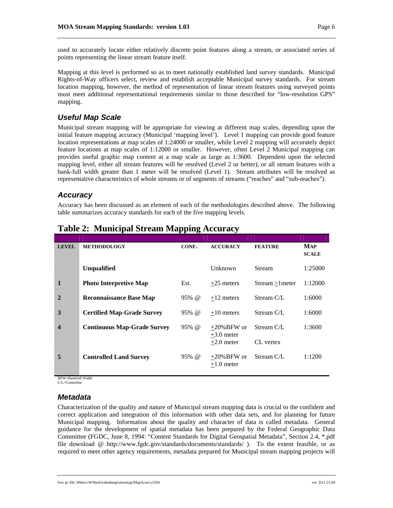used to accurately locate either relatively discrete point features along a stream, or associated series of points representing the linear stream feature itself.

Mapping at this level is performed so as to meet nationally established land survey standards. Municipal Rights-of-Way officers select, review and establish acceptable Municipal survey standards. For stream location mapping, however, the method of representation of linear stream features using surveyed points must meet additional representational requirements similar to those described for "low-resolution GPS" mapping.

## *Useful Map Scale*

Municipal stream mapping will be appropriate for viewing at different map scales, depending upon the initial feature mapping accuracy (Municipal 'mapping level'). Level 1 mapping can provide good feature location representations at map scales of 1:24000 or smaller, while Level 2 mapping will accurately depict feature locations at map scales of 1:12000 or smaller. However, often Level 2 Municipal mapping can provides useful graphic map content at a map scale as large as 1:3600. Dependent upon the selected mapping level, either all stream features will be resolved (Level 2 or better), or all stream features with a bank-full width greater than 1 meter will be resolved (Level 1). Stream attributes will be resolved as representative characteristics of whole streams or of segments of streams ("reaches" and "sub-reaches").

#### *Accuracy*

Accuracy has been discussed as an element of each of the methodologies described above. The following table summarizes accuracy standards for each of the five mapping levels.

| <b>LEVEL</b> | <b>METHODOLOGY</b>                 | CONF.           | <b>ACCURACY</b>                | <b>FEATURE</b>  | <b>MAP</b><br><b>SCALE</b> |
|--------------|------------------------------------|-----------------|--------------------------------|-----------------|----------------------------|
|              | <b>Unqualified</b>                 |                 | Unknown                        | <b>Stream</b>   | 1:25000                    |
| 1            | <b>Photo Interpretive Map</b>      | Est.            | $+25$ meters                   | Stream > lmeter | 1:12000                    |
| $\mathbf{2}$ | <b>Reconnaissance Base Map</b>     | $95% \; \omega$ | $+12$ meters                   | Stream C/L      | 1:6000                     |
| 3            | <b>Certified Map-Grade Survey</b>  | $95% \; \omega$ | $+10$ meters                   | Stream C/L      | 1:6000                     |
| 4            | <b>Continuous Map-Grade Survey</b> | $95% \; \omega$ | $+20\%$ BFW or<br>$+3.0$ meter | Stream C/L      | 1:3600                     |
|              |                                    |                 | $+2.0$ meter                   | CL vertex       |                            |
| 5            | <b>Controlled Land Survey</b>      | $95% \; \omega$ | $+20\%$ BFW or<br>$+1.0$ meter | Stream C/L      | 1:1200                     |

# **Table 2: Municipal Stream Mapping Accuracy**

 BFW=Bankfull Width C/L=Centerline

## *Metadata*

Characterization of the quality and nature of Municipal stream mapping data is crucial to the confident and correct application and integration of this information with other data sets, and for planning for future Municipal mapping. Information about the quality and character of data is called metadata. General guidance for the development of spatial metadata has been prepared by the Federal Geographic Data Committee (FGDC, June 8, 1994: "Content Standards for Digital Geospatial Metadata", Section 2.4, \*.pdf file download @ http://www.fgdc.gov/standards/documents/standards/ ). To the extent feasible, or as required to meet other agency requirements, metadata prepared for Municipal stream mapping projects will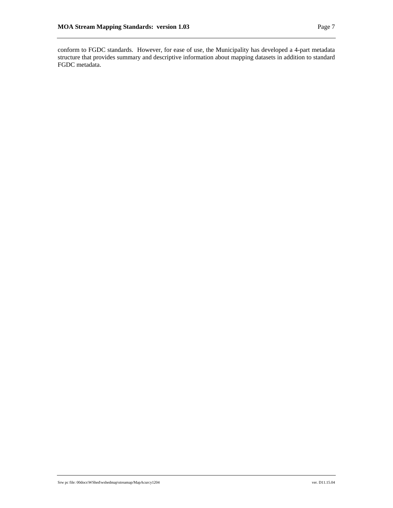conform to FGDC standards. However, for ease of use, the Municipality has developed a 4-part metadata structure that provides summary and descriptive information about mapping datasets in addition to standard FGDC metadata.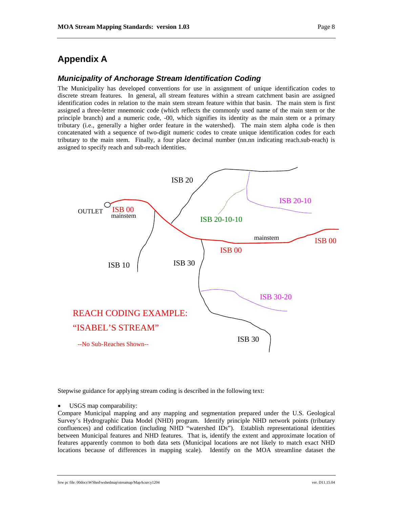## **Appendix A**

#### *Municipality of Anchorage Stream Identification Coding*

The Municipality has developed conventions for use in assignment of unique identification codes to discrete stream features. In general, all stream features within a stream catchment basin are assigned identification codes in relation to the main stem stream feature within that basin. The main stem is first assigned a three-letter mnemonic code (which reflects the commonly used name of the main stem or the principle branch) and a numeric code, -00, which signifies its identity as the main stem or a primary tributary (i.e., generally a higher order feature in the watershed). The main stem alpha code is then concatenated with a sequence of two-digit numeric codes to create unique identification codes for each tributary to the main stem. Finally, a four place decimal number (nn.nn indicating reach.sub-reach) is assigned to specify reach and sub-reach identities.



Stepwise guidance for applying stream coding is described in the following text:

• USGS map comparability:

Compare Municipal mapping and any mapping and segmentation prepared under the U.S. Geological Survey's Hydrographic Data Model (NHD) program. Identify principle NHD network points (tributary confluences) and codification (including NHD "watershed IDs"). Establish representational identities between Municipal features and NHD features. That is, identify the extent and approximate location of features apparently common to both data sets (Municipal locations are not likely to match exact NHD locations because of differences in mapping scale). Identify on the MOA streamline dataset the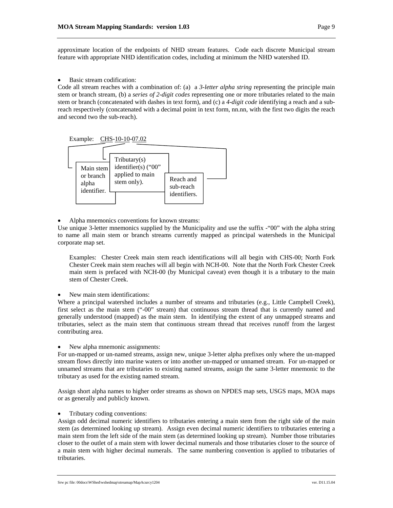approximate location of the endpoints of NHD stream features. Code each discrete Municipal stream feature with appropriate NHD identification codes, including at minimum the NHD watershed ID.

Basic stream codification:

Code all stream reaches with a combination of: (a) a *3-letter alpha string* representing the principle main stem or branch stream, (b) a *series of 2-digit codes* representing one or more tributaries related to the main stem or branch (concatenated with dashes in text form), and (c) a *4-digit code* identifying a reach and a subreach respectively (concatenated with a decimal point in text form, nn.nn, with the first two digits the reach and second two the sub-reach).

#### Example: CHS-10-10-07.02



Alpha mnemonics conventions for known streams:

Use unique 3-letter mnemonics supplied by the Municipality and use the suffix -"00" with the alpha string to name all main stem or branch streams currently mapped as principal watersheds in the Municipal corporate map set.

Examples: Chester Creek main stem reach identifications will all begin with CHS-00; North Fork Chester Creek main stem reaches will all begin with NCH-00. Note that the North Fork Chester Creek main stem is prefaced with NCH-00 (by Municipal caveat) even though it is a tributary to the main stem of Chester Creek.

New main stem identifications:

Where a principal watershed includes a number of streams and tributaries (e.g., Little Campbell Creek), first select as the main stem ("-00" stream) that continuous stream thread that is currently named and generally understood (mapped) as the main stem. In identifying the extent of any unmapped streams and tributaries, select as the main stem that continuous stream thread that receives runoff from the largest contributing area.

New alpha mnemonic assignments:

For un-mapped or un-named streams, assign new, unique 3-letter alpha prefixes only where the un-mapped stream flows directly into marine waters or into another un-mapped or unnamed stream. For un-mapped or unnamed streams that are tributaries to existing named streams, assign the same 3-letter mnemonic to the tributary as used for the existing named stream.

Assign short alpha names to higher order streams as shown on NPDES map sets, USGS maps, MOA maps or as generally and publicly known.

#### • Tributary coding conventions:

Assign odd decimal numeric identifiers to tributaries entering a main stem from the right side of the main stem (as determined looking up stream). Assign even decimal numeric identifiers to tributaries entering a main stem from the left side of the main stem (as determined looking up stream). Number those tributaries closer to the outlet of a main stem with lower decimal numerals and those tributaries closer to the source of a main stem with higher decimal numerals. The same numbering convention is applied to tributaries of tributaries.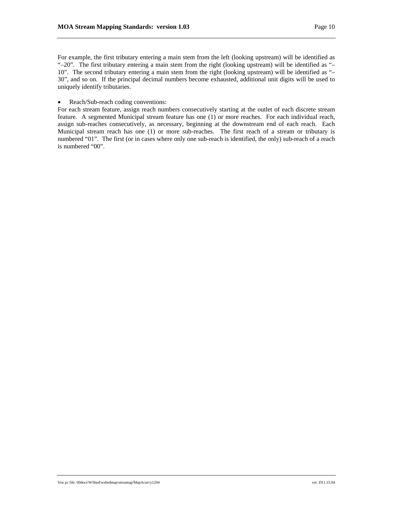For example, the first tributary entering a main stem from the left (looking upstream) will be identified as "–20". The first tributary entering a main stem from the right (looking upstream) will be identified as "– 10". The second tributary entering a main stem from the right (looking upstream) will be identified as "– 30", and so on. If the principal decimal numbers become exhausted, additional unit digits will be used to uniquely identify tributaries.

• Reach/Sub-reach coding conventions:

For each stream feature, assign reach numbers consecutively starting at the outlet of each discrete stream feature. A segmented Municipal stream feature has one (1) or more reaches. For each individual reach, assign sub-reaches consecutively, as necessary, beginning at the downstream end of each reach. Each Municipal stream reach has one (1) or more sub-reaches. The first reach of a stream or tributary is numbered "01". The first (or in cases where only one sub-reach is identified, the only) sub-reach of a reach is numbered "00".